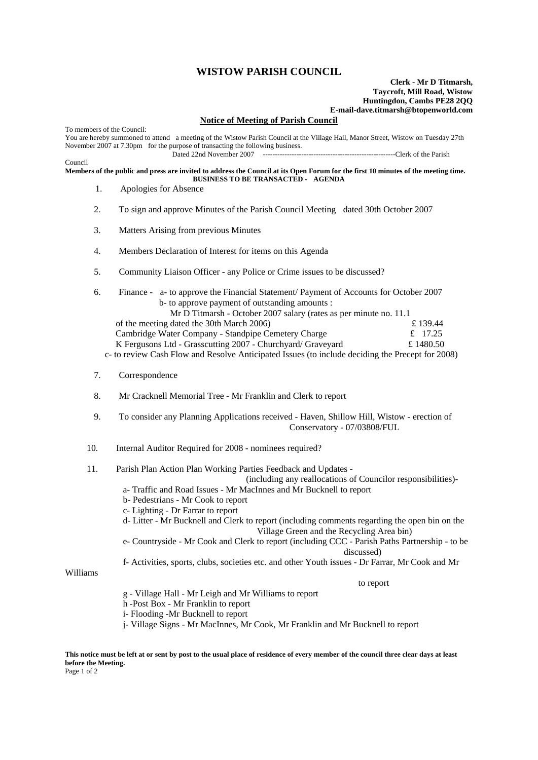## **WISTOW PARISH COUNCIL**

## **Clerk - Mr D Titmarsh, Taycroft, Mill Road, Wistow Huntingdon, Cambs PE28 2QQ E-mail-dave.titmarsh@btopenworld.com**

## **Notice of Meeting of Parish Council**

To members of the Council: You are hereby summoned to attend a meeting of the Wistow Parish Council at the Village Hall, Manor Street, Wistow on Tuesday 27th November 2007 at 7.30pm for the purpose of transacting the following business.<br>Dated 22nd November 2007 Dated 22nd November 2007 -------------------------------------------------------Clerk of the Parish

Council

**Members of the public and press are invited to address the Council at its Open Forum for the first 10 minutes of the meeting time. BUSINESS TO BE TRANSACTED - AGENDA** 

- 1. Apologies for Absence
- 2. To sign and approve Minutes of the Parish Council Meeting dated 30th October 2007
- 3. Matters Arising from previous Minutes
- 4. Members Declaration of Interest for items on this Agenda
- 5. Community Liaison Officer any Police or Crime issues to be discussed?
- 6. Finance a- to approve the Financial Statement/ Payment of Accounts for October 2007 b- to approve payment of outstanding amounts : Mr D Titmarsh - October 2007 salary (rates as per minute no. 11.1 of the meeting dated the 30th March 2006)  $\qquad \qquad \text{if } 139.44$ Cambridge Water Company - Standpipe Cemetery Charge  $\qquad \qquad \text{£} \quad 17.25$ K Fergusons Ltd - Grasscutting 2007 - Churchyard/ Graveyard £ 1480.50 c- to review Cash Flow and Resolve Anticipated Issues (to include deciding the Precept for 2008)
- 
- 7. Correspondence
- 8. Mr Cracknell Memorial Tree Mr Franklin and Clerk to report
- 9. To consider any Planning Applications received Haven, Shillow Hill, Wistow erection of Conservatory - 07/03808/FUL
- 10. Internal Auditor Required for 2008 nominees required?
- 11. Parish Plan Action Plan Working Parties Feedback and Updates -

(including any reallocations of Councilor responsibilities)-

- a- Traffic and Road Issues Mr MacInnes and Mr Bucknell to report
- b- Pedestrians Mr Cook to report
- c- Lighting Dr Farrar to report
- d- Litter Mr Bucknell and Clerk to report (including comments regarding the open bin on the Village Green and the Recycling Area bin)
- e- Countryside Mr Cook and Clerk to report (including CCC Parish Paths Partnership to be discussed)
- f- Activities, sports, clubs, societies etc. and other Youth issues Dr Farrar, Mr Cook and Mr

Williams

to report

- g Village Hall Mr Leigh and Mr Williams to report
- h -Post Box Mr Franklin to report
- i- Flooding -Mr Bucknell to report
- j- Village Signs Mr MacInnes, Mr Cook, Mr Franklin and Mr Bucknell to report